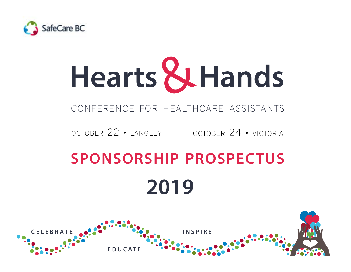

# **Hearts** &**Hands**

## conference for healthcare assistants

october 22 • langley october 24 • victoria

## **sponsorship prospectus 2019**

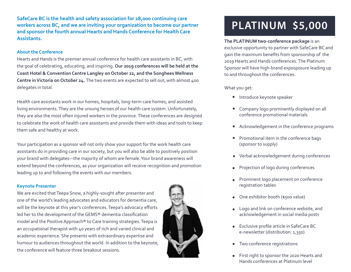**SafeCare BC is the health and safety association for 28,000 continuing care workers across BC, and we are inviting your organization to become our partner and sponsor the fourth annual Hearts and Hands Conference for Health Care Assistants.** 

#### **About the Conference**

Hearts and Hands is the premier annual conference for health care assistants in BC, with the goal of celebrating, educating, and inspiring. **Our 2019 conferences will be held at the Coast Hotel & Convention Centre Langley on October 22, and the Songhees Wellness Centre in Victoria on October 24.** The two events are expected to sell out, with almost 400 delegates in total.

Health care assistants work in our homes, hospitals, long-term care homes, and assisted living environments. They are the unsung heroes of our health care system. Unfortunately, they are also the most often injured workers in the province. These conferences are designed to celebrate the work of health care assistants and provide them with ideas and tools to keep them safe and healthy at work.

Your participation as a sponsor will not only show your support for the work health care assistants do in providing care in our society, but you will also be able to positively position your brand with delegates—the majority of whom are female. Your brand awareness will extend beyond the conferences, as your organization will receive recognition and promotion leading up to and following the events with our members.

#### **Keynote Presenter**

We are excited that Teepa Snow, a highly-sought after presenter and one of the world's leading advocates and educators for dementia care, will be the keynote at this year's conferences. Teepa's advocacy efforts led her to the development of the GEMS® dementia classification model and the Positive Approach® to Care training strategies. Teepa is an occupational therapist with 40 years of rich and varied clinical and academic experience. She presents with extraordinary expertise and humour to audiences throughout the world. In addition to the keynote, the conference will feature three breakout sessions.



## **PLATINUM \$5,000**

**The PLATINUM two-conference package** is an exclusive opportunity to partner with SafeCare BC and gain the maximum benefits from sponsorship of the 2019 Hearts and Hands conferences. The Platinum Sponsor will have high-brand exposposure leading up to and throughout the conferences.

What you get:

- **•** Introduce keynote speaker
- Company logo prominently displayed on all conference promotional materials
- Acknowledgement in the conference programs  $\bullet$
- Promotional item in the conference bags (sponsor to supply)
- Verbal acknowledgement during conferences
- Projection of logo during conferences
- Prominent logo placement on conference registration tables
- One exhibitor booth (\$500 value)
- Logo and link on conference website, and acknowledgement in social media posts
- Exclusive profile article in SafeCare BC e-newsletter (distribution: 1,350)
- Two conference registrations
- First right to sponsor the 2020 Hearts and Hands conferences at Platinum level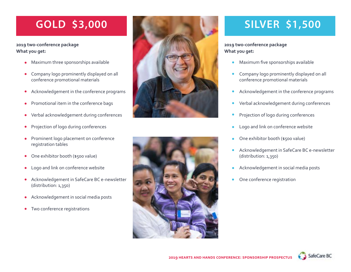## **GOLD \$3,000**

#### **2019 two-conference package What you get:**

- Maximum three sponsorships available
- Company logo prominently displayed on all  $\bullet$ conference promotional materials
- Acknowledgement in the conference programs  $\bullet$
- Promotional item in the conference bags
- Verbal acknowledgement during conferences  $\bullet$
- Projection of logo during conferences  $\bullet$
- Prominent logo placement on conference registration tables
- One exhibitor booth (\$500 value)  $\bullet$
- Logo and link on conference website  $\bullet$
- Acknowledgement in SafeCare BC e-newsletter  $\bullet$ (distribution: 1,350)
- Acknowledgement in social media posts  $\bullet$
- Two conference registrations  $\bullet$





## **SILVER \$1,500**

#### **2019 two-conference package What you get:**

- Maximum five sponsorships available
- Company logo prominently displayed on all conference promotional materials
- Acknowledgement in the conference programs
- Verbal acknowledgement during conferences
- Projection of logo during conferences
- Logo and link on conference website  $\bullet$
- One exhibitor booth (\$500 value)
- Acknowledgement in SafeCare BC e-newsletter (distribution: 1,350)
- Acknowledgement in social media posts  $\bullet$
- One conference registration

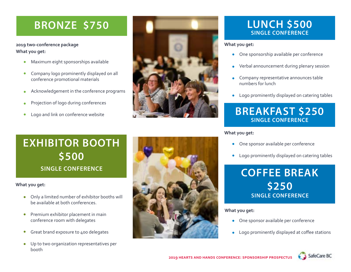## **BRONZE \$750**

**2019 two-conference package What you get:**

- Maximum eight sponsorships available
- Company logo prominently displayed on all conference promotional materials
- Acknowledgement in the conference programs
- Projection of logo during conferences
- Logo and link on conference website



## **LUNCH \$500 SINGLE CONFERENCE**

#### **What you get:**

- One sponsorship available per conference  $\bullet$
- Verbal announcement during plenary session
- Company representative announces table numbers for lunch
- Logo prominently displayed on catering tables  $\bullet$

## **BREAKFAST \$250 SINGLE CONFERENCE**

**What you get:**

- One sponsor available per conference
- Logo prominently displayed on catering tables  $\bullet$



#### **What you get:**

- One sponsor available per conference  $\bullet$
- Logo prominently displayed at coffee stations  $\bullet$

## **EXHIBITOR BOOTH \$500 SINGLE CONFERENCE**

#### **What you get:**

- Only a limited number of exhibitor booths will  $\bullet$ be available at both conferences.
- Premium exhibitor placement in main  $\bullet$ conference room with delegates
- Great brand exposure to 400 delegates  $\bullet$
- Up to two organization representatives per booth